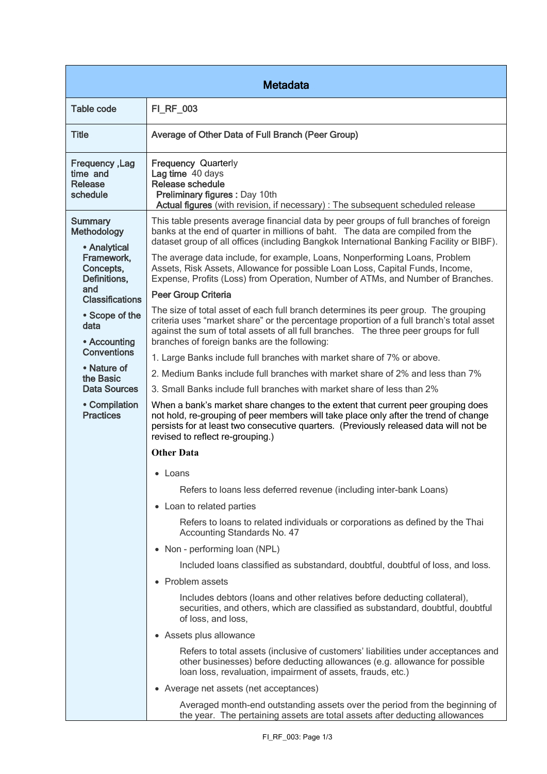| <b>Metadata</b>                                                                                                                                                            |                                                                                                                                                                                                                                                                                                                         |  |
|----------------------------------------------------------------------------------------------------------------------------------------------------------------------------|-------------------------------------------------------------------------------------------------------------------------------------------------------------------------------------------------------------------------------------------------------------------------------------------------------------------------|--|
| <b>Table code</b>                                                                                                                                                          | FI_RF_003                                                                                                                                                                                                                                                                                                               |  |
| <b>Title</b>                                                                                                                                                               | Average of Other Data of Full Branch (Peer Group)                                                                                                                                                                                                                                                                       |  |
| Frequency, Lag<br>time and<br>Release<br>schedule                                                                                                                          | Frequency Quarterly<br>Lag time 40 days<br><b>Release schedule</b><br>Preliminary figures : Day 10th<br>Actual figures (with revision, if necessary) : The subsequent scheduled release                                                                                                                                 |  |
| <b>Summary</b><br><b>Methodology</b><br>• Analytical<br>Framework,<br>Concepts,<br>Definitions,<br>and<br><b>Classifications</b><br>• Scope of the<br>data<br>• Accounting | This table presents average financial data by peer groups of full branches of foreign<br>banks at the end of quarter in millions of baht. The data are compiled from the<br>dataset group of all offices (including Bangkok International Banking Facility or BIBF).                                                    |  |
|                                                                                                                                                                            | The average data include, for example, Loans, Nonperforming Loans, Problem<br>Assets, Risk Assets, Allowance for possible Loan Loss, Capital Funds, Income,<br>Expense, Profits (Loss) from Operation, Number of ATMs, and Number of Branches.                                                                          |  |
|                                                                                                                                                                            | <b>Peer Group Criteria</b>                                                                                                                                                                                                                                                                                              |  |
|                                                                                                                                                                            | The size of total asset of each full branch determines its peer group. The grouping<br>criteria uses "market share" or the percentage proportion of a full branch's total asset<br>against the sum of total assets of all full branches. The three peer groups for full<br>branches of foreign banks are the following: |  |
| <b>Conventions</b>                                                                                                                                                         | 1. Large Banks include full branches with market share of 7% or above.                                                                                                                                                                                                                                                  |  |
| • Nature of<br>the Basic<br><b>Data Sources</b><br>• Compilation<br><b>Practices</b>                                                                                       | 2. Medium Banks include full branches with market share of 2% and less than 7%                                                                                                                                                                                                                                          |  |
|                                                                                                                                                                            | 3. Small Banks include full branches with market share of less than 2%                                                                                                                                                                                                                                                  |  |
|                                                                                                                                                                            | When a bank's market share changes to the extent that current peer grouping does<br>not hold, re-grouping of peer members will take place only after the trend of change<br>persists for at least two consecutive quarters. (Previously released data will not be<br>revised to reflect re-grouping.)                   |  |
|                                                                                                                                                                            | <b>Other Data</b>                                                                                                                                                                                                                                                                                                       |  |
|                                                                                                                                                                            | • Loans                                                                                                                                                                                                                                                                                                                 |  |
|                                                                                                                                                                            | Refers to loans less deferred revenue (including inter-bank Loans)                                                                                                                                                                                                                                                      |  |
|                                                                                                                                                                            | • Loan to related parties                                                                                                                                                                                                                                                                                               |  |
|                                                                                                                                                                            | Refers to loans to related individuals or corporations as defined by the Thai<br>Accounting Standards No. 47                                                                                                                                                                                                            |  |
|                                                                                                                                                                            | • Non - performing loan (NPL)                                                                                                                                                                                                                                                                                           |  |
|                                                                                                                                                                            | Included loans classified as substandard, doubtful, doubtful of loss, and loss.                                                                                                                                                                                                                                         |  |
|                                                                                                                                                                            | • Problem assets                                                                                                                                                                                                                                                                                                        |  |
|                                                                                                                                                                            | Includes debtors (loans and other relatives before deducting collateral),<br>securities, and others, which are classified as substandard, doubtful, doubtful<br>of loss, and loss,                                                                                                                                      |  |
|                                                                                                                                                                            | • Assets plus allowance                                                                                                                                                                                                                                                                                                 |  |
|                                                                                                                                                                            | Refers to total assets (inclusive of customers' liabilities under acceptances and<br>other businesses) before deducting allowances (e.g. allowance for possible<br>loan loss, revaluation, impairment of assets, frauds, etc.)                                                                                          |  |
|                                                                                                                                                                            | • Average net assets (net acceptances)                                                                                                                                                                                                                                                                                  |  |
|                                                                                                                                                                            | Averaged month-end outstanding assets over the period from the beginning of<br>the year. The pertaining assets are total assets after deducting allowances                                                                                                                                                              |  |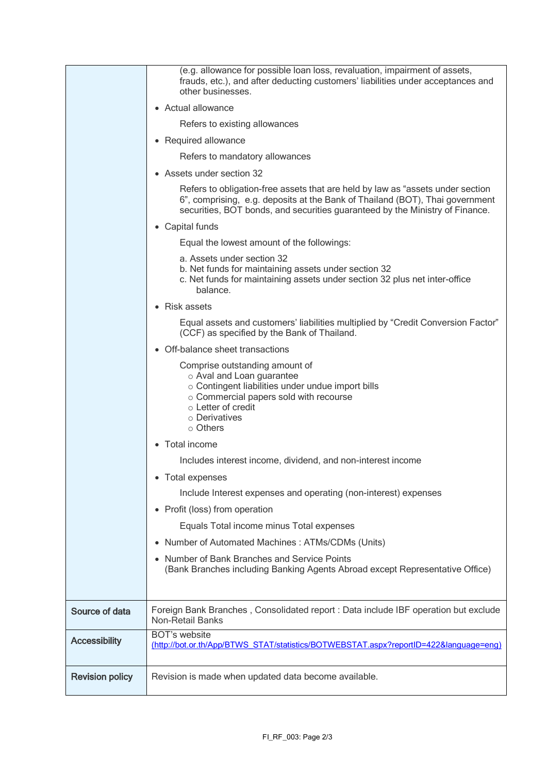|                        | (e.g. allowance for possible loan loss, revaluation, impairment of assets,<br>frauds, etc.), and after deducting customers' liabilities under acceptances and<br>other businesses.                                                             |
|------------------------|------------------------------------------------------------------------------------------------------------------------------------------------------------------------------------------------------------------------------------------------|
|                        | • Actual allowance                                                                                                                                                                                                                             |
|                        | Refers to existing allowances                                                                                                                                                                                                                  |
|                        | • Required allowance                                                                                                                                                                                                                           |
|                        | Refers to mandatory allowances                                                                                                                                                                                                                 |
|                        | • Assets under section 32                                                                                                                                                                                                                      |
|                        | Refers to obligation-free assets that are held by law as "assets under section<br>6", comprising, e.g. deposits at the Bank of Thailand (BOT), Thai government<br>securities, BOT bonds, and securities guaranteed by the Ministry of Finance. |
|                        | • Capital funds                                                                                                                                                                                                                                |
|                        | Equal the lowest amount of the followings:                                                                                                                                                                                                     |
|                        | a. Assets under section 32<br>b. Net funds for maintaining assets under section 32<br>c. Net funds for maintaining assets under section 32 plus net inter-office<br>balance.                                                                   |
|                        | • Risk assets                                                                                                                                                                                                                                  |
|                        | Equal assets and customers' liabilities multiplied by "Credit Conversion Factor"<br>(CCF) as specified by the Bank of Thailand.                                                                                                                |
|                        | • Off-balance sheet transactions                                                                                                                                                                                                               |
|                        | Comprise outstanding amount of<br>o Aval and Loan guarantee<br>o Contingent liabilities under undue import bills<br>○ Commercial papers sold with recourse<br>o Letter of credit<br>o Derivatives<br>$\circ$ Others                            |
|                        | • Total income                                                                                                                                                                                                                                 |
|                        | Includes interest income, dividend, and non-interest income                                                                                                                                                                                    |
|                        | • Total expenses                                                                                                                                                                                                                               |
|                        | Include Interest expenses and operating (non-interest) expenses                                                                                                                                                                                |
|                        | • Profit (loss) from operation                                                                                                                                                                                                                 |
|                        | Equals Total income minus Total expenses                                                                                                                                                                                                       |
|                        | • Number of Automated Machines: ATMs/CDMs (Units)                                                                                                                                                                                              |
|                        | Number of Bank Branches and Service Points<br>(Bank Branches including Banking Agents Abroad except Representative Office)                                                                                                                     |
| Source of data         | Foreign Bank Branches, Consolidated report : Data include IBF operation but exclude<br><b>Non-Retail Banks</b>                                                                                                                                 |
| <b>Accessibility</b>   | <b>BOT's website</b><br>(http://bot.or.th/App/BTWS_STAT/statistics/BOTWEBSTAT.aspx?reportID=422&language=eng)                                                                                                                                  |
| <b>Revision policy</b> | Revision is made when updated data become available.                                                                                                                                                                                           |